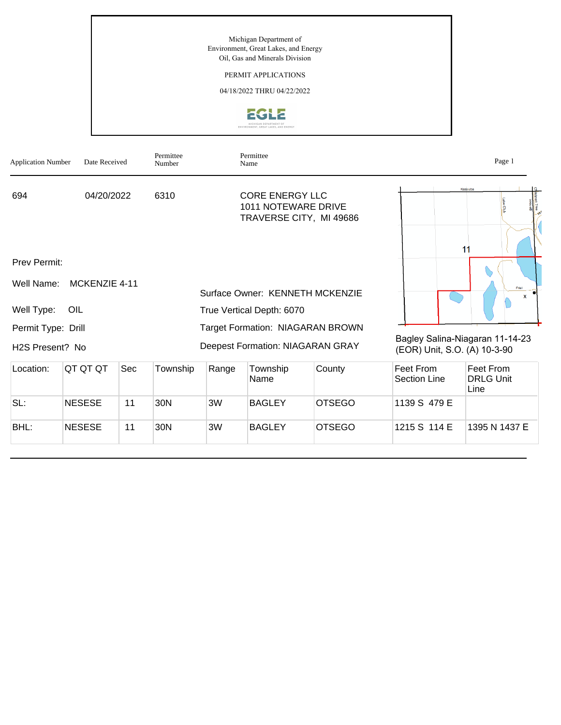## PERMIT APPLICATIONS

04/18/2022 THRU 04/22/2022



| <b>Application Number</b>    | Date Received | Permittee<br>Number | Permittee<br>Name                                                        | Page 1                                                          |
|------------------------------|---------------|---------------------|--------------------------------------------------------------------------|-----------------------------------------------------------------|
| 694                          | 04/20/2022    | 6310                | <b>CORE ENERGY LLC</b><br>1011 NOTEWARE DRIVE<br>TRAVERSE CITY, MI 49686 | Kassuba                                                         |
|                              |               |                     |                                                                          | 11                                                              |
| Prev Permit:                 |               |                     |                                                                          |                                                                 |
| Well Name:                   | MCKENZIE 4-11 |                     | Surface Owner: KENNETH MCKENZIE                                          | Friel<br>X                                                      |
| Well Type:<br>OIL            |               |                     | True Vertical Depth: 6070                                                |                                                                 |
| Permit Type: Drill           |               |                     | <b>Target Formation: NIAGARAN BROWN</b>                                  |                                                                 |
| H <sub>2</sub> S Present? No |               |                     | <b>Deepest Formation: NIAGARAN GRAY</b>                                  | Bagley Salina-Niagaran 11-14-23<br>(EOR) Unit, S.O. (A) 10-3-90 |

| Location: | QT QT QT      | Sec | Township | Range | Township<br>Name | County        | Feet From<br><b>Section Line</b> | Feet From<br><b>DRLG Unit</b><br>Line |
|-----------|---------------|-----|----------|-------|------------------|---------------|----------------------------------|---------------------------------------|
| SL:       | <b>NESESE</b> | 11  | 30N      | 3W    | <b>BAGLEY</b>    | <b>OTSEGO</b> | 1139 S 479 E                     |                                       |
| BHL:      | <b>NESESE</b> | 11  | 30N      | 3W    | <b>BAGLEY</b>    | <b>OTSEGO</b> | 1215 S 114 E                     | 1395 N 1437 E                         |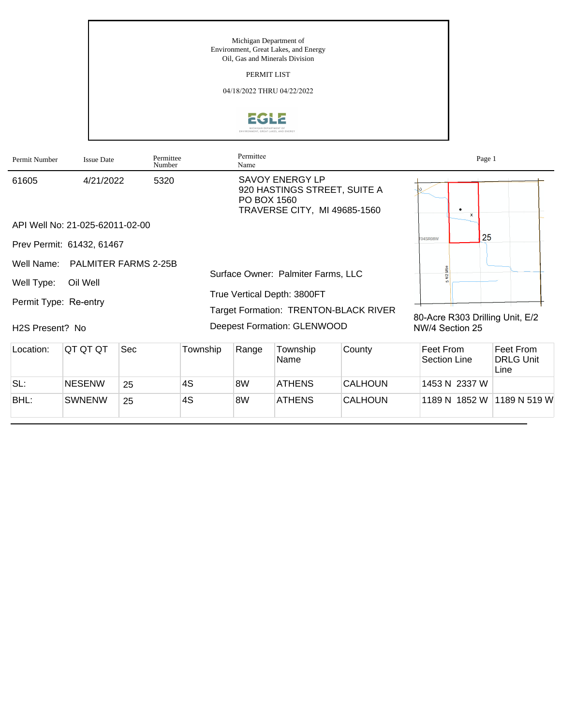PERMIT LIST

04/18/2022 THRU 04/22/2022



| Permit Number                | <b>Issue Date</b>               | Permittee<br>Number  |          | Permittee<br>Name |                                                                                        |        | Page 1                          |                                       |
|------------------------------|---------------------------------|----------------------|----------|-------------------|----------------------------------------------------------------------------------------|--------|---------------------------------|---------------------------------------|
| 61605                        | 4/21/2022                       | 5320                 |          | PO BOX 1560       | <b>SAVOY ENERGY LP</b><br>920 HASTINGS STREET, SUITE A<br>TRAVERSE CITY, MI 49685-1560 |        | $\mathbf{x}$                    |                                       |
|                              | API Well No: 21-025-62011-02-00 |                      |          |                   |                                                                                        |        |                                 |                                       |
|                              | Prev Permit: 61432, 61467       |                      |          |                   |                                                                                        |        | 25<br><b>T04SR08W</b>           |                                       |
| Well Name:                   |                                 | PALMITER FARMS 2-25B |          |                   |                                                                                        |        |                                 |                                       |
| Well Type:                   | Oil Well                        |                      |          |                   | Surface Owner: Palmiter Farms, LLC                                                     |        |                                 |                                       |
| Permit Type: Re-entry        |                                 |                      |          |                   | True Vertical Depth: 3800FT<br>Target Formation: TRENTON-BLACK RIVER                   |        | 80-Acre R303 Drilling Unit, E/2 |                                       |
| H <sub>2</sub> S Present? No |                                 |                      |          |                   | Deepest Formation: GLENWOOD                                                            |        | NW/4 Section 25                 |                                       |
| Location:                    | QT QT QT                        | <b>Sec</b>           | Township | Range             | Township<br>Name                                                                       | County | Feet From<br>Section Line       | Feet From<br><b>DRLG Unit</b><br>Line |

BHL: SWNENW 25 4S 8W ATHENS CALHOUN 1189 N 1852 W 1189 N 519 W

SL: NESENW 25 4S 8W ATHENS CALHOUN 1453 N 2337 W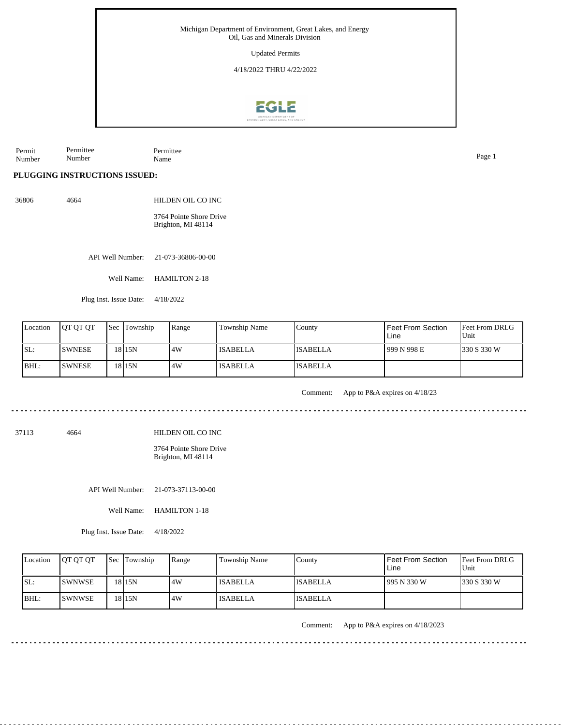Updated Permits

4/18/2022 THRU 4/22/2022



Permit Number Permittee Number Permittee Name Page 1

## **PLUGGING INSTRUCTIONS ISSUED:**

36806 4664 HILDEN OIL CO INC

> 3764 Pointe Shore Drive Brighton, MI 48114

API Well Number: 21-073-36806-00-00

Well Name: HAMILTON 2-18

Plug Inst. Issue Date: 4/18/2022

| Location | <b>IOT OT OT</b> | <b>Sec Township</b> | Range | Township Name   | County          | Feet From Section<br>Line | <b>Feet From DRLG</b><br>Unit |
|----------|------------------|---------------------|-------|-----------------|-----------------|---------------------------|-------------------------------|
| ISL:     | <b>SWNESE</b>    | 18 I 15 N           | 4W    | <b>ISABELLA</b> | <b>ISABELLA</b> | 1999 N 998 E              | 1330 S 330 W                  |
| BHL:     | <b>SWNESE</b>    | 18 <sub>15N</sub>   | .4W   | <b>ISABELLA</b> | <b>ISABELLA</b> |                           |                               |

Comment: App to P&A expires on 4/18/23

37113 4664

HILDEN OIL CO INC

3764 Pointe Shore Drive Brighton, MI 48114

API Well Number: 21-073-37113-00-00

Well Name: HAMILTON 1-18

Plug Inst. Issue Date: 4/18/2022

| Location | <b>IOT OT OT</b> | <b>Sec Township</b> | Range | Township Name   | County          | l Feet From Section<br>Line | <b>Feet From DRLG</b><br>Unit |
|----------|------------------|---------------------|-------|-----------------|-----------------|-----------------------------|-------------------------------|
| ISL:     | <b>ISWNWSE</b>   | 18 I 15 N           | 4W    | <b>ISABELLA</b> | <b>ISABELLA</b> | 1995 N 330 W                | 1330 S 330 W                  |
| $IBHL$ : | <b>ISWNWSE</b>   | 18 I 15 N           | 4W    | <b>ISABELLA</b> | <b>ISABELLA</b> |                             |                               |

Comment: App to P&A expires on 4/18/2023

 $- - - - - - - - -$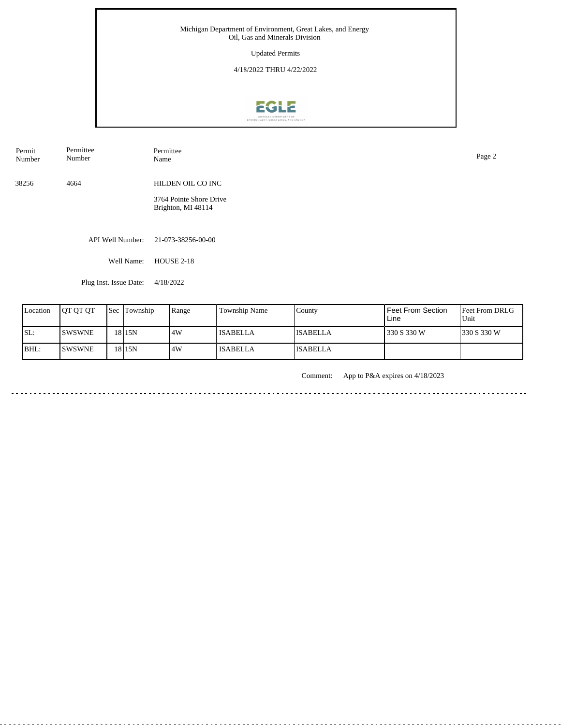Updated Permits

4/18/2022 THRU 4/22/2022



| Permit<br>Number | Permittee<br>Number    | Permittee<br>Name                             | Page 2 |
|------------------|------------------------|-----------------------------------------------|--------|
| 38256            | 4664                   | HILDEN OIL CO INC                             |        |
|                  |                        | 3764 Pointe Shore Drive<br>Brighton, MI 48114 |        |
|                  |                        |                                               |        |
|                  | API Well Number:       | 21-073-38256-00-00                            |        |
|                  | Well Name:             | <b>HOUSE 2-18</b>                             |        |
|                  | Plug Inst. Issue Date: | 4/18/2022                                     |        |

| Location | <b>OT OT OT</b> | <b>Sec</b> | Township          | Range | Township Name   | County          | <b>Feet From Section</b><br>Line | Feet From DRLG<br>Unit |
|----------|-----------------|------------|-------------------|-------|-----------------|-----------------|----------------------------------|------------------------|
| SL:      | <b>SWSWNE</b>   |            | 18 I 15 N         | 4W    | <b>ISABELLA</b> | <b>ISABELLA</b> | 330 S 330 W                      | 330 S 330 W            |
| BHL:     | <b>ISWSWNE</b>  |            | 1815 <sub>N</sub> | 14W   | <b>ISABELLA</b> | <b>ISABELLA</b> |                                  |                        |

Comment: App to P&A expires on 4/18/2023

 $\frac{1}{2} \left( \frac{1}{2} \right) \left( \frac{1}{2} \right) \left( \frac{1}{2} \right) \left( \frac{1}{2} \right) \left( \frac{1}{2} \right) \left( \frac{1}{2} \right)$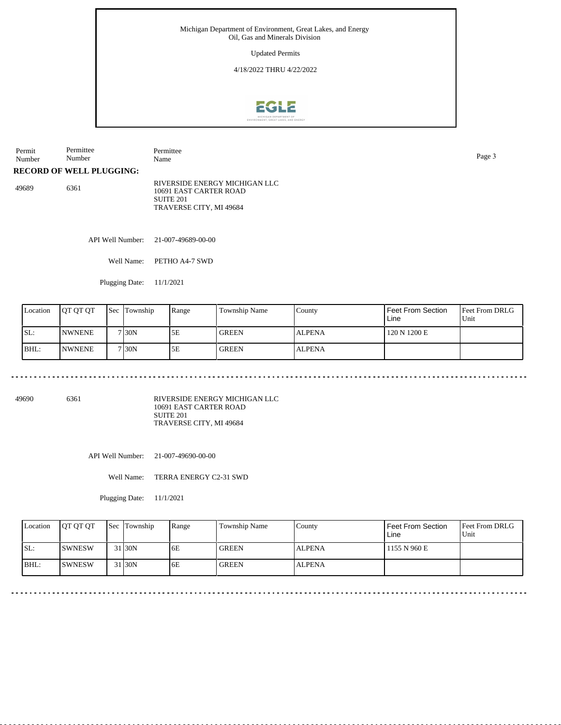Updated Permits

4/18/2022 THRU 4/22/2022



Permit Number Permittee Number Permittee Name Page 3 **RECORD OF WELL PLUGGING:**

49689 6361 RIVERSIDE ENERGY MICHIGAN LLC 10691 EAST CARTER ROAD SUITE 201 TRAVERSE CITY, MI 49684

API Well Number: 21-007-49689-00-00

Well Name: PETHO A4-7 SWD

Plugging Date: 11/1/2021

<u>. . . . . . . . . . . . . . . .</u>

| Location | <b>IOT OT OT</b> | <b>Sec</b> | Township | Range | Township Name | County        | Feet From Section<br>Line | <b>Feet From DRLG</b><br>'Unit |
|----------|------------------|------------|----------|-------|---------------|---------------|---------------------------|--------------------------------|
| SL:      | <b>INWNENE</b>   |            | 7 30N    | 5E    | <b>GREEN</b>  | <b>ALPENA</b> | 120 N 1200 E              |                                |
| BHL:     | <b>INWNENE</b>   |            | 7 30N    | 5E    | <b>GREEN</b>  | <b>ALPENA</b> |                           |                                |

49690 6361

RIVERSIDE ENERGY MICHIGAN LLC 10691 EAST CARTER ROAD SUITE 201 TRAVERSE CITY, MI 49684

API Well Number: 21-007-49690-00-00

Well Name: TERRA ENERGY C2-31 SWD

Plugging Date: 11/1/2021

| Location | <b>IOT OT OT</b> | <b>Sec</b> Township | Range | Township Name | County        | Feet From Section<br>Line | <b>Feet From DRLG</b><br>Unit |
|----------|------------------|---------------------|-------|---------------|---------------|---------------------------|-------------------------------|
| SL:      | <b>SWNESW</b>    | 31 <sub>30</sub> N  | 6E    | <b>GREEN</b>  | <b>ALPENA</b> | 1155 N 960 E              |                               |
| $IBHL$ : | ISWNESW          | 1 I30N              | 6E    | <b>GREEN</b>  | <b>ALPENA</b> |                           |                               |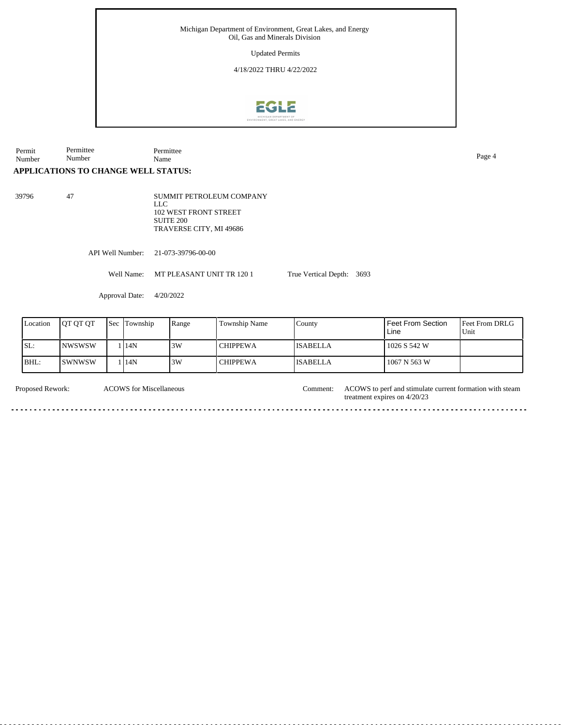Updated Permits

4/18/2022 THRU 4/22/2022



Permit Number Permittee Number Permittee Name Page 4

## **APPLICATIONS TO CHANGE WELL STATUS:**

39796 47

SUMMIT PETROLEUM COMPANY LLC 102 WEST FRONT STREET SUITE 200 TRAVERSE CITY, MI 49686

API Well Number: 21-073-39796-00-00

Well Name: MT PLEASANT UNIT TR 120 1

Approval Date: 4/20/2022

| Location | IOT OT OT | <b>Sec Township</b> | Range | <b>Township Name</b> | County          | l Feet From Section<br>Line | <b>Feet From DRLG</b><br>Unit |
|----------|-----------|---------------------|-------|----------------------|-----------------|-----------------------------|-------------------------------|
| ISL:     | INWSWSW   | l 14N               | 3W    | <b>CHIPPEWA</b>      | <b>ISABELLA</b> | 1026 S 542 W                |                               |
| BHL:     | ISWNWSW   | l 14N               | 3W    | <b>CHIPPEWA</b>      | <b>ISABELLA</b> | 1067 N 563 W                |                               |

True Vertical Depth: 3693

ACOWS for Miscellaneous

Proposed Rework: ACOWS for Miscellaneous Comment: ACOWS to perf and stimulate current formation with steam treatment expires on 4/20/23 Comment: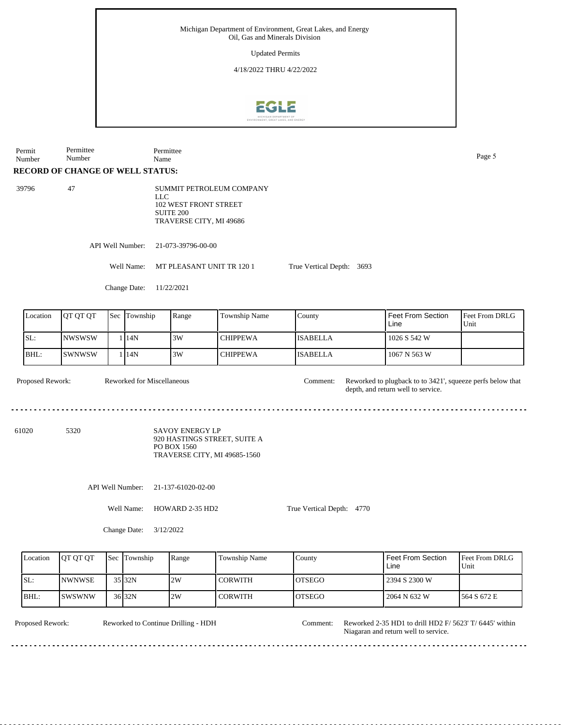Updated Permits

4/18/2022 THRU 4/22/2022



**RECORD OF CHANGE OF WELL STATUS:** Permit Number Permittee Number Permittee Name Page 5 39796 47 SUMMIT PETROLEUM COMPANY

LLC 102 WEST FRONT STREET SUITE 200 TRAVERSE CITY, MI 49686

API Well Number: 21-073-39796-00-00

Well Name: MT PLEASANT UNIT TR 120 1

True Vertical Depth: 3693

Change Date: 11/22/2021

| Location | <b>OT OT OT</b> | 'Sec | Township | Range | <b>Township Name</b> | County          | Feet From Section<br>Line | <b>Feet From DRLG</b><br>Unit |
|----------|-----------------|------|----------|-------|----------------------|-----------------|---------------------------|-------------------------------|
| SL:      | <b>NWSWSW</b>   |      | 14N      | 3W    | <b>CHIPPEWA</b>      | <b>ISABELLA</b> | 1026 S 542 W              |                               |
| BHL:     | <b>SWNWSW</b>   |      | 114N     | 3W    | <b>CHIPPEWA</b>      | <b>ISABELLA</b> | 1067 N 563 W              |                               |

Proposed Rework: Reworked for Miscellaneous comment: Reworked to plugback to to 3421', squeeze perfs below that depth, and return well to service. Comment: Reworked for Miscellaneous API Well Number: 21-137-61020-02-00 Well Name: HOWARD 2-35 HD2 True Vertical Depth: 4770 61020 5320 SAVOY ENERGY LP 920 HASTINGS STREET, SUITE A PO BOX 1560 TRAVERSE CITY, MI 49685-1560

Change Date: 3/12/2022

| Location | <b>OT OT OT</b> | Sec Township      | Range | <b>Township Name</b> | Countv  | Feet From Section<br>Line | <b>Feet From DRLG</b><br>Unit |
|----------|-----------------|-------------------|-------|----------------------|---------|---------------------------|-------------------------------|
| ISL:     | <b>NWNWSE</b>   | 35 32N            | 2W    | <b>CORWITH</b>       | IOTSEGO | 2394 S 2300 W             |                               |
| BHL:     | <b>ISWSWNW</b>  | 36 <sub>32N</sub> | 2W    | <b>CORWITH</b>       | IOTSEGO | 2064 N 632 W              | 1564 S 672 E                  |

Reworked to Continue Drilling - HDH

Proposed Rework: Reworked to Continue Drilling - HDH Comment: Reworked 2-35 HD1 to drill HD2 F/ 5623' T/ 6445' within Comment: Niagaran and return well to service.  $- - - - -$ 

dia dia dia d